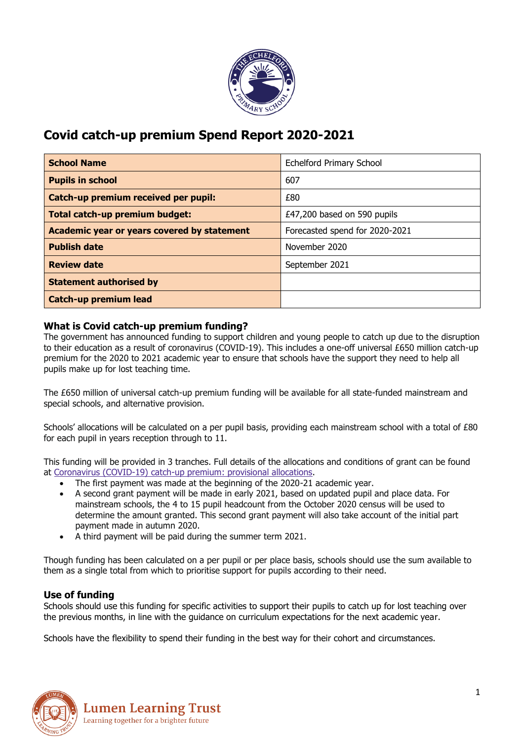

# **Covid catch-up premium Spend Report 2020-2021**

| <b>School Name</b>                          | <b>Echelford Primary School</b> |
|---------------------------------------------|---------------------------------|
| <b>Pupils in school</b>                     | 607                             |
| Catch-up premium received per pupil:        | £80                             |
| Total catch-up premium budget:              | £47,200 based on 590 pupils     |
| Academic year or years covered by statement | Forecasted spend for 2020-2021  |
| <b>Publish date</b>                         | November 2020                   |
| <b>Review date</b>                          | September 2021                  |
| <b>Statement authorised by</b>              |                                 |
| <b>Catch-up premium lead</b>                |                                 |

# **What is Covid catch-up premium funding?**

The government has announced funding to support children and young people to catch up due to the disruption to their education as a result of coronavirus (COVID-19). This includes a one-off universal £650 million catch-up premium for the 2020 to 2021 academic year to ensure that schools have the support they need to help all pupils make up for lost teaching time.

The £650 million of universal catch-up premium funding will be available for all state-funded mainstream and special schools, and alternative provision.

Schools' allocations will be calculated on a per pupil basis, providing each mainstream school with a total of £80 for each pupil in years reception through to 11.

This funding will be provided in 3 tranches. Full details of the allocations and conditions of grant can be found at [Coronavirus](https://www.gov.uk/government/publications/coronavirus-covid-19-catch-up-premium-provisional-allocations) (COVID-19) catch-up premium: provisional allocations.

- The first payment was made at the beginning of the 2020-21 academic year.
- A second grant payment will be made in early 2021, based on updated pupil and place data. For mainstream schools, the 4 to 15 pupil headcount from the October 2020 census will be used to determine the amount granted. This second grant payment will also take account of the initial part payment made in autumn 2020.
- A third payment will be paid during the summer term 2021.

Though funding has been calculated on a per pupil or per place basis, schools should use the sum available to them as a single total from which to prioritise support for pupils according to their need.

## **Use of funding**

Schools should use this funding for specific activities to support their pupils to catch up for lost teaching over the previous months, in line with the guidance on curriculum expectations for the next academic year.

Schools have the flexibility to spend their funding in the best way for their cohort and circumstances.

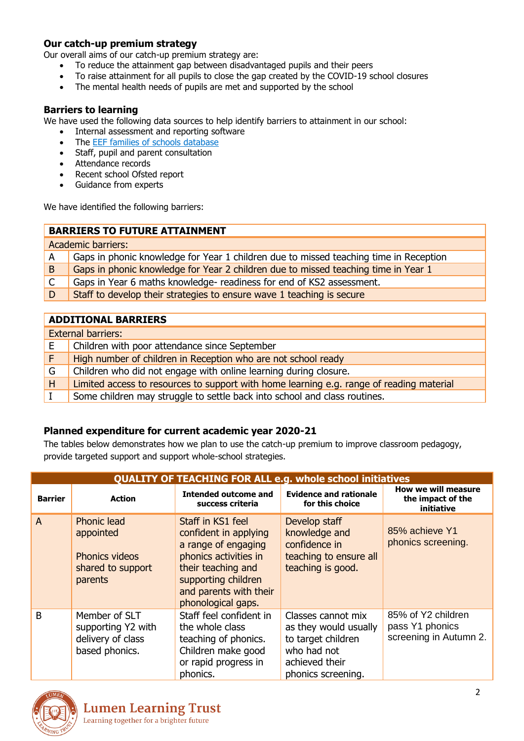# **Our catch-up premium strategy**

Our overall aims of our catch-up premium strategy are:

- To reduce the attainment gap between disadvantaged pupils and their peers
- To raise attainment for all pupils to close the gap created by the COVID-19 school closures
- The mental health needs of pupils are met and supported by the school

#### **Barriers to learning**

We have used the following data sources to help identify barriers to attainment in our school:

- Internal assessment and reporting software
- The [EEF families of schools database](https://educationendowmentfoundation.org.uk/tools/families-of-schools-database/)
- Staff, pupil and parent consultation
- Attendance records
- Recent school Ofsted report
- Guidance from experts

We have identified the following barriers:

### **BARRIERS TO FUTURE ATTAINMENT**

|    | <b>Academic barriers:</b>                                                             |
|----|---------------------------------------------------------------------------------------|
| A  | Gaps in phonic knowledge for Year 1 children due to missed teaching time in Reception |
| B. | Gaps in phonic knowledge for Year 2 children due to missed teaching time in Year 1    |
|    | Gaps in Year 6 maths knowledge- readiness for end of KS2 assessment.                  |
| D  | Staff to develop their strategies to ensure wave 1 teaching is secure                 |

#### **ADDITIONAL BARRIERS**

|    | <b>External barriers:</b>                                                                |
|----|------------------------------------------------------------------------------------------|
| E. | Children with poor attendance since September                                            |
|    | High number of children in Reception who are not school ready                            |
| G  | Children who did not engage with online learning during closure.                         |
| H  | Limited access to resources to support with home learning e.g. range of reading material |
|    | Some children may struggle to settle back into school and class routines.                |

## **Planned expenditure for current academic year 2020-21**

The tables below demonstrates how we plan to use the catch-up premium to improve classroom pedagogy, provide targeted support and support whole-school strategies.

|                | <b>QUALITY OF TEACHING FOR ALL e.g. whole school initiatives</b>                         |                                                                                                                                                                                         |                                                                                                                          |                                                                 |  |
|----------------|------------------------------------------------------------------------------------------|-----------------------------------------------------------------------------------------------------------------------------------------------------------------------------------------|--------------------------------------------------------------------------------------------------------------------------|-----------------------------------------------------------------|--|
| <b>Barrier</b> | <b>Action</b>                                                                            | <b>Intended outcome and</b><br>success criteria                                                                                                                                         | <b>Evidence and rationale</b><br>for this choice                                                                         | How we will measure<br>the impact of the<br>initiative          |  |
| $\overline{A}$ | <b>Phonic lead</b><br>appointed<br><b>Phonics videos</b><br>shared to support<br>parents | Staff in KS1 feel<br>confident in applying<br>a range of engaging<br>phonics activities in<br>their teaching and<br>supporting children<br>and parents with their<br>phonological gaps. | Develop staff<br>knowledge and<br>confidence in<br>teaching to ensure all<br>teaching is good.                           | 85% achieve Y1<br>phonics screening.                            |  |
| B              | Member of SLT<br>supporting Y2 with<br>delivery of class<br>based phonics.               | Staff feel confident in<br>the whole class<br>teaching of phonics.<br>Children make good<br>or rapid progress in<br>phonics.                                                            | Classes cannot mix<br>as they would usually<br>to target children<br>who had not<br>achieved their<br>phonics screening. | 85% of Y2 children<br>pass Y1 phonics<br>screening in Autumn 2. |  |

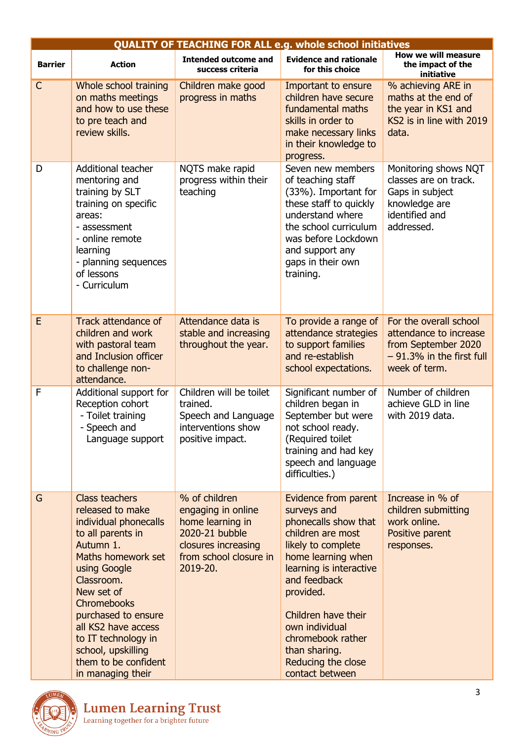|                | <b>QUALITY OF TEACHING FOR ALL e.g. whole school initiatives</b>                                                                                                                                                                                                                                                                     |                                                                                                                                        |                                                                                                                                                                                                                                                                                                              |                                                                                                                         |  |
|----------------|--------------------------------------------------------------------------------------------------------------------------------------------------------------------------------------------------------------------------------------------------------------------------------------------------------------------------------------|----------------------------------------------------------------------------------------------------------------------------------------|--------------------------------------------------------------------------------------------------------------------------------------------------------------------------------------------------------------------------------------------------------------------------------------------------------------|-------------------------------------------------------------------------------------------------------------------------|--|
| <b>Barrier</b> | <b>Action</b>                                                                                                                                                                                                                                                                                                                        | <b>Intended outcome and</b><br>success criteria                                                                                        | <b>Evidence and rationale</b><br>for this choice                                                                                                                                                                                                                                                             | How we will measure<br>the impact of the<br>initiative                                                                  |  |
| $\mathsf{C}$   | Whole school training<br>on maths meetings<br>and how to use these<br>to pre teach and<br>review skills.                                                                                                                                                                                                                             | Children make good<br>progress in maths                                                                                                | Important to ensure<br>children have secure<br>fundamental maths<br>skills in order to<br>make necessary links<br>in their knowledge to<br>progress.                                                                                                                                                         | % achieving ARE in<br>maths at the end of<br>the year in KS1 and<br>KS2 is in line with 2019<br>data.                   |  |
| D              | Additional teacher<br>mentoring and<br>training by SLT<br>training on specific<br>areas:<br>- assessment<br>- online remote<br>learning<br>- planning sequences<br>of lessons<br>- Curriculum                                                                                                                                        | NQTS make rapid<br>progress within their<br>teaching                                                                                   | Seven new members<br>of teaching staff<br>(33%). Important for<br>these staff to quickly<br>understand where<br>the school curriculum<br>was before Lockdown<br>and support any<br>gaps in their own<br>training.                                                                                            | Monitoring shows NQT<br>classes are on track.<br>Gaps in subject<br>knowledge are<br>identified and<br>addressed.       |  |
| E              | <b>Track attendance of</b><br>children and work<br>with pastoral team<br>and Inclusion officer<br>to challenge non-<br>attendance.                                                                                                                                                                                                   | Attendance data is<br>stable and increasing<br>throughout the year.                                                                    | To provide a range of<br>attendance strategies<br>to support families<br>and re-establish<br>school expectations.                                                                                                                                                                                            | For the overall school<br>attendance to increase<br>from September 2020<br>$-91.3\%$ in the first full<br>week of term. |  |
| F              | Additional support for<br>Reception cohort<br>- Toilet training<br>- Speech and<br>Language support                                                                                                                                                                                                                                  | Children will be toilet<br>trained.<br>Speech and Language<br>interventions show<br>positive impact.                                   | Significant number of<br>children began in<br>September but were<br>not school ready.<br>(Required toilet<br>training and had key<br>speech and language<br>difficulties.)                                                                                                                                   | Number of children<br>achieve GLD in line<br>with 2019 data.                                                            |  |
| G              | <b>Class teachers</b><br>released to make<br>individual phonecalls<br>to all parents in<br>Autumn 1.<br>Maths homework set<br>using Google<br>Classroom.<br>New set of<br><b>Chromebooks</b><br>purchased to ensure<br>all KS2 have access<br>to IT technology in<br>school, upskilling<br>them to be confident<br>in managing their | % of children<br>engaging in online<br>home learning in<br>2020-21 bubble<br>closures increasing<br>from school closure in<br>2019-20. | Evidence from parent<br>surveys and<br>phonecalls show that<br>children are most<br>likely to complete<br>home learning when<br>learning is interactive<br>and feedback<br>provided.<br>Children have their<br>own individual<br>chromebook rather<br>than sharing.<br>Reducing the close<br>contact between | Increase in % of<br>children submitting<br>work online.<br>Positive parent<br>responses.                                |  |

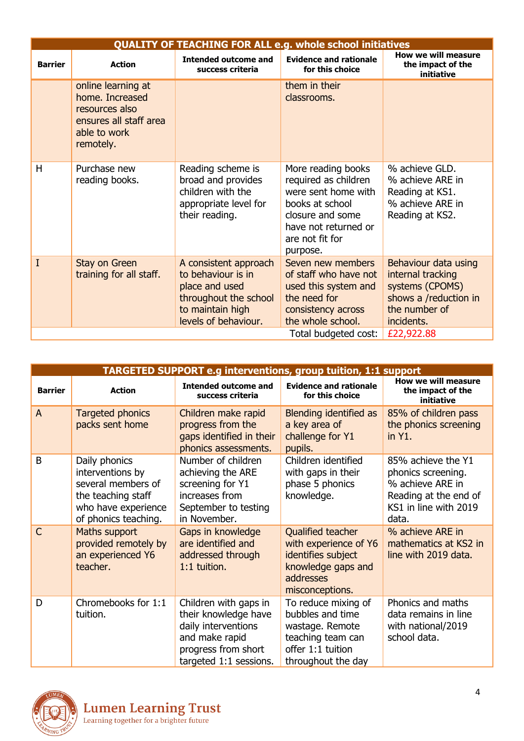|                | <b>QUALITY OF TEACHING FOR ALL e.g. whole school initiatives</b>                                               |                                                                                                                                    |                                                                                                                                                                 |                                                                                                                      |  |
|----------------|----------------------------------------------------------------------------------------------------------------|------------------------------------------------------------------------------------------------------------------------------------|-----------------------------------------------------------------------------------------------------------------------------------------------------------------|----------------------------------------------------------------------------------------------------------------------|--|
| <b>Barrier</b> | <b>Action</b>                                                                                                  | Intended outcome and<br>success criteria                                                                                           | <b>Evidence and rationale</b><br>for this choice                                                                                                                | How we will measure<br>the impact of the<br>initiative                                                               |  |
|                | online learning at<br>home. Increased<br>resources also<br>ensures all staff area<br>able to work<br>remotely. |                                                                                                                                    | them in their<br>classrooms.                                                                                                                                    |                                                                                                                      |  |
| H              | Purchase new<br>reading books.                                                                                 | Reading scheme is<br>broad and provides<br>children with the<br>appropriate level for<br>their reading.                            | More reading books<br>required as children<br>were sent home with<br>books at school<br>closure and some<br>have not returned or<br>are not fit for<br>purpose. | % achieve GLD.<br>% achieve ARE in<br>Reading at KS1.<br>% achieve ARE in<br>Reading at KS2.                         |  |
| I              | Stay on Green<br>training for all staff.                                                                       | A consistent approach<br>to behaviour is in<br>place and used<br>throughout the school<br>to maintain high<br>levels of behaviour. | Seven new members<br>of staff who have not<br>used this system and<br>the need for<br>consistency across<br>the whole school.                                   | Behaviour data using<br>internal tracking<br>systems (CPOMS)<br>shows a /reduction in<br>the number of<br>incidents. |  |
|                | £22,922.88<br>Total budgeted cost:                                                                             |                                                                                                                                    |                                                                                                                                                                 |                                                                                                                      |  |

|                | TARGETED SUPPORT e.g interventions, group tuition, 1:1 support                                                               |                                                                                                                                         |                                                                                                                            |                                                                                                                         |  |
|----------------|------------------------------------------------------------------------------------------------------------------------------|-----------------------------------------------------------------------------------------------------------------------------------------|----------------------------------------------------------------------------------------------------------------------------|-------------------------------------------------------------------------------------------------------------------------|--|
| <b>Barrier</b> | <b>Action</b>                                                                                                                | <b>Intended outcome and</b><br>success criteria                                                                                         | <b>Evidence and rationale</b><br>for this choice                                                                           | How we will measure<br>the impact of the<br>initiative                                                                  |  |
| $\overline{A}$ | Targeted phonics<br>packs sent home                                                                                          | Children make rapid<br>progress from the<br>gaps identified in their<br>phonics assessments.                                            | Blending identified as<br>a key area of<br>challenge for Y1<br>pupils.                                                     | 85% of children pass<br>the phonics screening<br>in Y1.                                                                 |  |
| B              | Daily phonics<br>interventions by<br>several members of<br>the teaching staff<br>who have experience<br>of phonics teaching. | Number of children<br>achieving the ARE<br>screening for Y1<br>increases from<br>September to testing<br>in November.                   | Children identified<br>with gaps in their<br>phase 5 phonics<br>knowledge.                                                 | 85% achieve the Y1<br>phonics screening.<br>% achieve ARE in<br>Reading at the end of<br>KS1 in line with 2019<br>data. |  |
| $\mathsf{C}$   | Maths support<br>provided remotely by<br>an experienced Y6<br>teacher.                                                       | Gaps in knowledge<br>are identified and<br>addressed through<br>1:1 tuition.                                                            | Qualified teacher<br>with experience of Y6<br>identifies subject<br>knowledge gaps and<br>addresses<br>misconceptions.     | % achieve ARE in<br>mathematics at KS2 in<br>line with 2019 data.                                                       |  |
| D              | Chromebooks for 1:1<br>tuition.                                                                                              | Children with gaps in<br>their knowledge have<br>daily interventions<br>and make rapid<br>progress from short<br>targeted 1:1 sessions. | To reduce mixing of<br>bubbles and time<br>wastage. Remote<br>teaching team can<br>offer 1:1 tuition<br>throughout the day | Phonics and maths<br>data remains in line<br>with national/2019<br>school data.                                         |  |

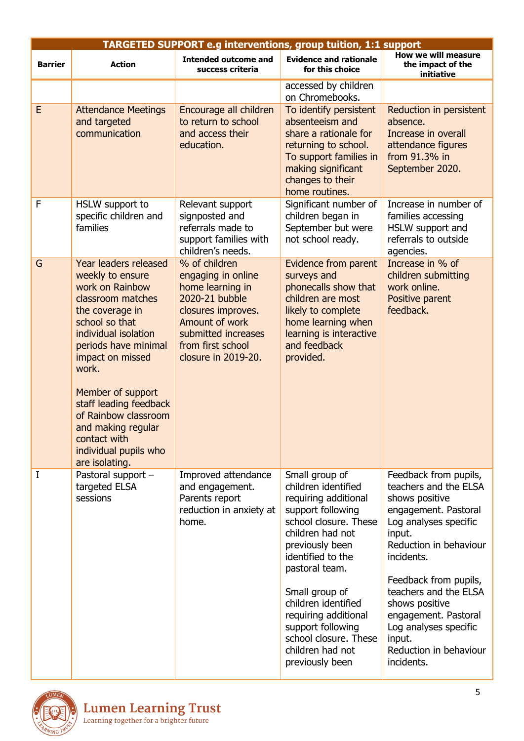|                | <b>TARGETED SUPPORT e.g interventions, group tuition, 1:1 support</b>                                                                                                                                                                                                                                                                                       |                                                                                                                                                                                      |                                                                                                                                                                                                                                                                                                                                                 |                                                                                                                                                                                                                                                                                                                                            |  |
|----------------|-------------------------------------------------------------------------------------------------------------------------------------------------------------------------------------------------------------------------------------------------------------------------------------------------------------------------------------------------------------|--------------------------------------------------------------------------------------------------------------------------------------------------------------------------------------|-------------------------------------------------------------------------------------------------------------------------------------------------------------------------------------------------------------------------------------------------------------------------------------------------------------------------------------------------|--------------------------------------------------------------------------------------------------------------------------------------------------------------------------------------------------------------------------------------------------------------------------------------------------------------------------------------------|--|
| <b>Barrier</b> | <b>Action</b>                                                                                                                                                                                                                                                                                                                                               | <b>Intended outcome and</b><br>success criteria                                                                                                                                      | <b>Evidence and rationale</b><br>for this choice                                                                                                                                                                                                                                                                                                | How we will measure<br>the impact of the<br>initiative                                                                                                                                                                                                                                                                                     |  |
|                |                                                                                                                                                                                                                                                                                                                                                             |                                                                                                                                                                                      | accessed by children<br>on Chromebooks.                                                                                                                                                                                                                                                                                                         |                                                                                                                                                                                                                                                                                                                                            |  |
| E              | <b>Attendance Meetings</b><br>and targeted<br>communication                                                                                                                                                                                                                                                                                                 | Encourage all children<br>to return to school<br>and access their<br>education.                                                                                                      | To identify persistent<br>absenteeism and<br>share a rationale for<br>returning to school.<br>To support families in<br>making significant<br>changes to their<br>home routines.                                                                                                                                                                | Reduction in persistent<br>absence.<br>Increase in overall<br>attendance figures<br>from 91.3% in<br>September 2020.                                                                                                                                                                                                                       |  |
| F              | HSLW support to<br>specific children and<br>families                                                                                                                                                                                                                                                                                                        | Relevant support<br>signposted and<br>referrals made to<br>support families with<br>children's needs.                                                                                | Significant number of<br>children began in<br>September but were<br>not school ready.                                                                                                                                                                                                                                                           | Increase in number of<br>families accessing<br>HSLW support and<br>referrals to outside<br>agencies.                                                                                                                                                                                                                                       |  |
| G              | Year leaders released<br>weekly to ensure<br>work on Rainbow<br>classroom matches<br>the coverage in<br>school so that<br>individual isolation<br>periods have minimal<br>impact on missed<br>work.<br>Member of support<br>staff leading feedback<br>of Rainbow classroom<br>and making regular<br>contact with<br>individual pupils who<br>are isolating. | % of children<br>engaging in online<br>home learning in<br>2020-21 bubble<br>closures improves.<br>Amount of work<br>submitted increases<br>from first school<br>closure in 2019-20. | Evidence from parent<br>surveys and<br>phonecalls show that<br>children are most<br>likely to complete<br>home learning when<br>learning is interactive<br>and feedback<br>provided.                                                                                                                                                            | Increase in % of<br>children submitting<br>work online.<br>Positive parent<br>feedback.                                                                                                                                                                                                                                                    |  |
| I              | Pastoral support -<br>targeted ELSA<br>sessions                                                                                                                                                                                                                                                                                                             | Improved attendance<br>and engagement.<br>Parents report<br>reduction in anxiety at<br>home.                                                                                         | Small group of<br>children identified<br>requiring additional<br>support following<br>school closure. These<br>children had not<br>previously been<br>identified to the<br>pastoral team.<br>Small group of<br>children identified<br>requiring additional<br>support following<br>school closure. These<br>children had not<br>previously been | Feedback from pupils,<br>teachers and the ELSA<br>shows positive<br>engagement. Pastoral<br>Log analyses specific<br>input.<br>Reduction in behaviour<br>incidents.<br>Feedback from pupils,<br>teachers and the ELSA<br>shows positive<br>engagement. Pastoral<br>Log analyses specific<br>input.<br>Reduction in behaviour<br>incidents. |  |